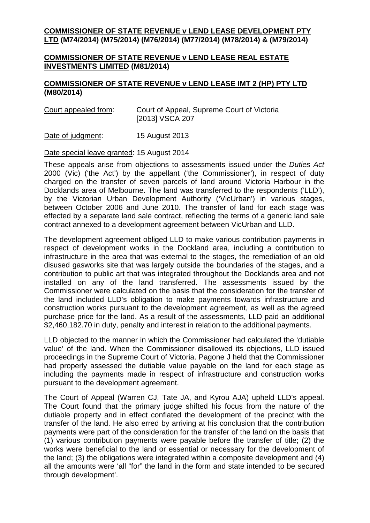## **COMMISSIONER OF STATE REVENUE v LEND LEASE DEVELOPMENT PTY LTD (M74/2014) (M75/2014) (M76/2014) (M77/2014) (M78/2014) & (M79/2014)**

## **COMMISSIONER OF STATE REVENUE v LEND LEASE REAL ESTATE INVESTMENTS LIMITED (M81/2014)**

## **COMMISSIONER OF STATE REVENUE v LEND LEASE IMT 2 (HP) PTY LTD (M80/2014)**

| Court appealed from: | Court of Appeal, Supreme Court of Victoria |
|----------------------|--------------------------------------------|
|                      | [2013] VSCA 207                            |

Date of judgment: 15 August 2013

## Date special leave granted: 15 August 2014

These appeals arise from objections to assessments issued under the *Duties Act* 2000 (Vic) ('the Act') by the appellant ('the Commissioner'), in respect of duty charged on the transfer of seven parcels of land around Victoria Harbour in the Docklands area of Melbourne. The land was transferred to the respondents ('LLD'), by the Victorian Urban Development Authority ('VicUrban') in various stages, between October 2006 and June 2010. The transfer of land for each stage was effected by a separate land sale contract, reflecting the terms of a generic land sale contract annexed to a development agreement between VicUrban and LLD.

The development agreement obliged LLD to make various contribution payments in respect of development works in the Dockland area, including a contribution to infrastructure in the area that was external to the stages, the remediation of an old disused gasworks site that was largely outside the boundaries of the stages, and a contribution to public art that was integrated throughout the Docklands area and not installed on any of the land transferred. The assessments issued by the Commissioner were calculated on the basis that the consideration for the transfer of the land included LLD's obligation to make payments towards infrastructure and construction works pursuant to the development agreement, as well as the agreed purchase price for the land. As a result of the assessments, LLD paid an additional \$2,460,182.70 in duty, penalty and interest in relation to the additional payments.

LLD objected to the manner in which the Commissioner had calculated the 'dutiable value' of the land. When the Commissioner disallowed its objections, LLD issued proceedings in the Supreme Court of Victoria. Pagone J held that the Commissioner had properly assessed the dutiable value payable on the land for each stage as including the payments made in respect of infrastructure and construction works pursuant to the development agreement.

The Court of Appeal (Warren CJ, Tate JA, and Kyrou AJA) upheld LLD's appeal. The Court found that the primary judge shifted his focus from the nature of the dutiable property and in effect conflated the development of the precinct with the transfer of the land. He also erred by arriving at his conclusion that the contribution payments were part of the consideration for the transfer of the land on the basis that (1) various contribution payments were payable before the transfer of title; (2) the works were beneficial to the land or essential or necessary for the development of the land; (3) the obligations were integrated within a composite development and (4) all the amounts were 'all "for" the land in the form and state intended to be secured through development'.